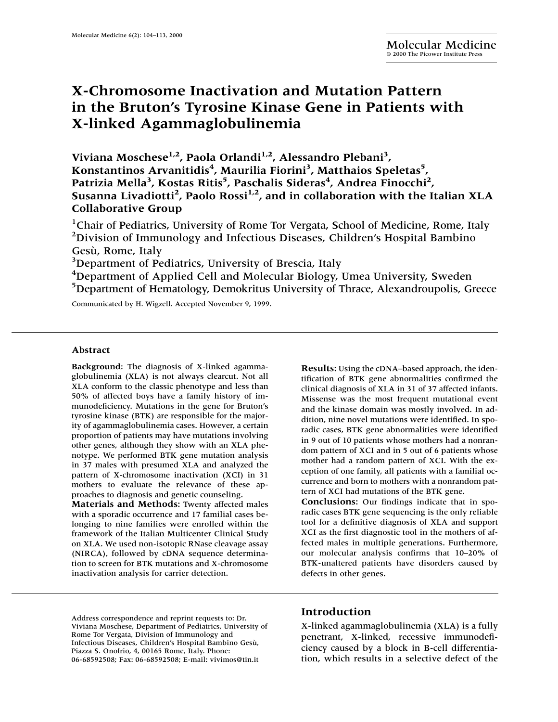# **X-Chromosome Inactivation and Mutation Pattern in the Bruton's Tyrosine Kinase Gene in Patients with X-linked Agammaglobulinemia**

**Viviana Moschese1,2, Paola Orlandi1,2, Alessandro Plebani3 , Konstantinos Arvanitidis<sup>4</sup> , Maurilia Fiorini<sup>3</sup> , Matthaios Speletas5 , Patrizia Mella3 , Kostas Ritis<sup>5</sup> , Paschalis Sideras4 , Andrea Finocchi2 , Susanna Livadiotti2 , Paolo Rossi1,2, and in collaboration with the Italian XLA Collaborative Group**

<sup>1</sup>Chair of Pediatrics, University of Rome Tor Vergata, School of Medicine, Rome, Italy <sup>2</sup>Division of Immunology and Infectious Diseases, Children's Hospital Bambino Gesù, Rome, Italy

<sup>3</sup>Department of Pediatrics, University of Brescia, Italy

<sup>4</sup>Department of Applied Cell and Molecular Biology, Umea University, Sweden <sup>5</sup>Department of Hematology, Demokritus University of Thrace, Alexandroupolis, Greece

Communicated by H. Wigzell. Accepted November 9, 1999.

#### **Abstract**

**Background:** The diagnosis of X-linked agammaglobulinemia (XLA) is not always clearcut. Not all XLA conform to the classic phenotype and less than 50% of affected boys have a family history of immunodeficiency. Mutations in the gene for Bruton's tyrosine kinase (BTK) are responsible for the majority of agammaglobulinemia cases. However, a certain proportion of patients may have mutations involving other genes, although they show with an XLA phenotype. We performed BTK gene mutation analysis in 37 males with presumed XLA and analyzed the pattern of X-chromosome inactivation (XCI) in 31 mothers to evaluate the relevance of these approaches to diagnosis and genetic counseling.

**Materials and Methods:** Twenty affected males with a sporadic occurrence and 17 familial cases belonging to nine families were enrolled within the framework of the Italian Multicenter Clinical Study on XLA. We used non-isotopic RNase cleavage assay (NIRCA), followed by cDNA sequence determination to screen for BTK mutations and X-chromosome inactivation analysis for carrier detection.

**Results:** Using the cDNA–based approach, the identification of BTK gene abnormalities confirmed the clinical diagnosis of XLA in 31 of 37 affected infants. Missense was the most frequent mutational event and the kinase domain was mostly involved. In addition, nine novel mutations were identified. In sporadic cases, BTK gene abnormalities were identified in 9 out of 10 patients whose mothers had a nonrandom pattern of XCI and in 5 out of 6 patients whose mother had a random pattern of XCI. With the exception of one family, all patients with a familial occurrence and born to mothers with a nonrandom pattern of XCI had mutations of the BTK gene.

**Conclusions:** Our findings indicate that in sporadic cases BTK gene sequencing is the only reliable tool for a definitive diagnosis of XLA and support XCI as the first diagnostic tool in the mothers of affected males in multiple generations. Furthermore, our molecular analysis confirms that 10–20% of BTK-unaltered patients have disorders caused by defects in other genes.

Address correspondence and reprint requests to: Dr. Viviana Moschese, Department of Pediatrics, University of Rome Tor Vergata, Division of Immunology and Infectious Diseases, Children's Hospital Bambino Gesù, Piazza S. Onofrio, 4, 00165 Rome, Italy. Phone: 06-68592508; Fax: 06-68592508; E-mail: vivimos@tin.it

### **Introduction**

X-linked agammaglobulinemia (XLA) is a fully penetrant, X-linked, recessive immunodeficiency caused by a block in B-cell differentiation, which results in a selective defect of the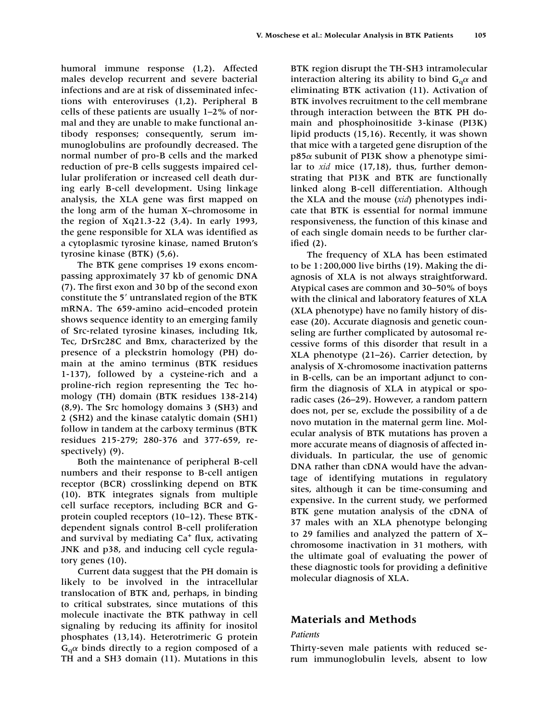humoral immune response (1,2). Affected males develop recurrent and severe bacterial infections and are at risk of disseminated infections with enteroviruses (1,2). Peripheral B cells of these patients are usually 1–2% of normal and they are unable to make functional antibody responses; consequently, serum immunoglobulins are profoundly decreased. The normal number of pro-B cells and the marked reduction of pre-B cells suggests impaired cellular proliferation or increased cell death during early B-cell development. Using linkage analysis, the XLA gene was first mapped on the long arm of the human X–chromosome in the region of Xq21.3-22 (3,4). In early 1993, the gene responsible for XLA was identified as a cytoplasmic tyrosine kinase, named Bruton's tyrosine kinase (BTK) (5,6).

The BTK gene comprises 19 exons encompassing approximately 37 kb of genomic DNA (7). The first exon and 30 bp of the second exon constitute the 5' untranslated region of the BTK mRNA. The 659-amino acid–encoded protein shows sequence identity to an emerging family of Src-related tyrosine kinases, including Itk, Tec, DrSrc28C and Bmx, characterized by the presence of a pleckstrin homology (PH) domain at the amino terminus (BTK residues 1-137), followed by a cysteine-rich and a proline-rich region representing the Tec homology (TH) domain (BTK residues 138-214) (8,9). The Src homology domains 3 (SH3) and 2 (SH2) and the kinase catalytic domain (SH1) follow in tandem at the carboxy terminus (BTK residues 215-279; 280-376 and 377-659, respectively) (9).

Both the maintenance of peripheral B-cell numbers and their response to B-cell antigen receptor (BCR) crosslinking depend on BTK (10). BTK integrates signals from multiple cell surface receptors, including BCR and Gprotein coupled receptors (10–12). These BTKdependent signals control B-cell proliferation and survival by mediating  $Ca<sup>+</sup>$  flux, activating JNK and p38, and inducing cell cycle regulatory genes (10).

Current data suggest that the PH domain is likely to be involved in the intracellular translocation of BTK and, perhaps, in binding to critical substrates, since mutations of this molecule inactivate the BTK pathway in cell signaling by reducing its affinity for inositol phosphates (13,14). Heterotrimeric G protein  $G_q\alpha$  binds directly to a region composed of a TH and a SH3 domain (11). Mutations in this BTK region disrupt the TH-SH3 intramolecular interaction altering its ability to bind  $\mathrm{G}_{\mathrm{q}}\alpha$  and eliminating BTK activation (11). Activation of BTK involves recruitment to the cell membrane through interaction between the BTK PH domain and phosphoinositide 3-kinase (PI3K) lipid products (15,16). Recently, it was shown that mice with a targeted gene disruption of the  $p85\alpha$  subunit of PI3K show a phenotype similar to *xid* mice (17,18), thus, further demonstrating that PI3K and BTK are functionally linked along B-cell differentiation. Although the XLA and the mouse (*xid*) phenotypes indicate that BTK is essential for normal immune responsiveness, the function of this kinase and of each single domain needs to be further clarified (2).

The frequency of XLA has been estimated to be 1 : 200,000 live births (19). Making the diagnosis of XLA is not always straightforward. Atypical cases are common and 30–50% of boys with the clinical and laboratory features of XLA (XLA phenotype) have no family history of disease (20). Accurate diagnosis and genetic counseling are further complicated by autosomal recessive forms of this disorder that result in a XLA phenotype (21–26). Carrier detection, by analysis of X-chromosome inactivation patterns in B-cells, can be an important adjunct to confirm the diagnosis of XLA in atypical or sporadic cases (26–29). However, a random pattern does not, per se, exclude the possibility of a de novo mutation in the maternal germ line. Molecular analysis of BTK mutations has proven a more accurate means of diagnosis of affected individuals. In particular, the use of genomic DNA rather than cDNA would have the advantage of identifying mutations in regulatory sites, although it can be time-consuming and expensive. In the current study, we performed BTK gene mutation analysis of the cDNA of 37 males with an XLA phenotype belonging to 29 families and analyzed the pattern of X– chromosome inactivation in 31 mothers, with the ultimate goal of evaluating the power of these diagnostic tools for providing a definitive molecular diagnosis of XLA.

## **Materials and Methods**

#### *Patients*

Thirty-seven male patients with reduced serum immunoglobulin levels, absent to low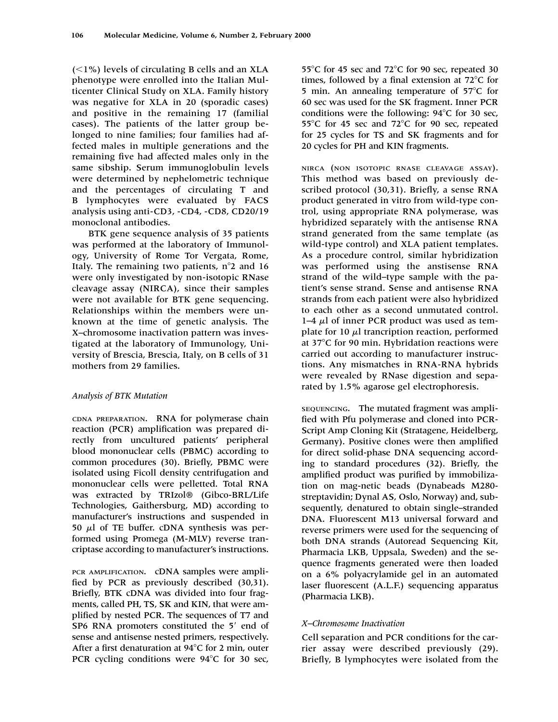$(<1%)$  levels of circulating B cells and an XLA phenotype were enrolled into the Italian Multicenter Clinical Study on XLA. Family history was negative for XLA in 20 (sporadic cases) and positive in the remaining 17 (familial cases). The patients of the latter group belonged to nine families; four families had affected males in multiple generations and the remaining five had affected males only in the same sibship. Serum immunoglobulin levels were determined by nephelometric technique and the percentages of circulating T and B lymphocytes were evaluated by FACS analysis using anti-CD3, -CD4, -CD8, CD20/19 monoclonal antibodies.

BTK gene sequence analysis of 35 patients was performed at the laboratory of Immunology, University of Rome Tor Vergata, Rome, Italy. The remaining two patients,  $n^{\circ}2$  and 16 were only investigated by non-isotopic RNase cleavage assay (NIRCA), since their samples were not available for BTK gene sequencing. Relationships within the members were unknown at the time of genetic analysis. The X–chromosome inactivation pattern was investigated at the laboratory of Immunology, University of Brescia, Brescia, Italy, on B cells of 31 mothers from 29 families.

### *Analysis of BTK Mutation*

CDNA PREPARATION. RNA for polymerase chain reaction (PCR) amplification was prepared directly from uncultured patients' peripheral blood mononuclear cells (PBMC) according to common procedures (30). Briefly, PBMC were isolated using Ficoll density centrifugation and mononuclear cells were pelletted. Total RNA was extracted by TRIzol® (Gibco-BRL/Life Technologies, Gaithersburg, MD) according to manufacturer's instructions and suspended in 50  $\mu$ l of TE buffer. cDNA synthesis was performed using Promega (M-MLV) reverse trancriptase according to manufacturer's instructions.

PCR AMPLIFICATION. cDNA samples were amplified by PCR as previously described (30,31). Briefly, BTK cDNA was divided into four fragments, called PH, TS, SK and KIN, that were amplified by nested PCR. The sequences of T7 and SP6 RNA promoters constituted the 5' end of sense and antisense nested primers, respectively. After a first denaturation at  $94^{\circ}$ C for 2 min, outer PCR cycling conditions were  $94^{\circ}$ C for 30 sec, 55 $^{\circ}$ C for 45 sec and 72 $^{\circ}$ C for 90 sec, repeated 30 times, followed by a final extension at  $72^{\circ}$ C for 5 min. An annealing temperature of  $57^{\circ}$ C for 60 sec was used for the SK fragment. Inner PCR conditions were the following:  $94^{\circ}$ C for 30 sec, 55 $^{\circ}$ C for 45 sec and 72 $^{\circ}$ C for 90 sec, repeated for 25 cycles for TS and SK fragments and for 20 cycles for PH and KIN fragments.

NIRCA (NON ISOTOPIC RNASE CLEAVAGE ASSAY). This method was based on previously described protocol (30,31). Briefly, a sense RNA product generated in vitro from wild-type control, using appropriate RNA polymerase, was hybridized separately with the antisense RNA strand generated from the same template (as wild-type control) and XLA patient templates. As a procedure control, similar hybridization was performed using the anstisense RNA strand of the wild–type sample with the patient's sense strand. Sense and antisense RNA strands from each patient were also hybridized to each other as a second unmutated control. 1–4  $\mu$ l of inner PCR product was used as template for 10  $\mu$ l trancription reaction, performed at  $37^{\circ}$ C for 90 min. Hybridation reactions were carried out according to manufacturer instructions. Any mismatches in RNA-RNA hybrids were revealed by RNase digestion and separated by 1.5% agarose gel electrophoresis.

SEQUENCING. The mutated fragment was amplified with Pfu polymerase and cloned into PCR-Script Amp Cloning Kit (Stratagene, Heidelberg, Germany). Positive clones were then amplified for direct solid-phase DNA sequencing according to standard procedures (32). Briefly, the amplified product was purified by immobilization on mag-netic beads (Dynabeads M280 streptavidin; Dynal AS, Oslo, Norway) and, subsequently, denatured to obtain single–stranded DNA. Fluorescent M13 universal forward and reverse primers were used for the sequencing of both DNA strands (Autoread Sequencing Kit, Pharmacia LKB, Uppsala, Sweden) and the sequence fragments generated were then loaded on a 6% polyacrylamide gel in an automated laser fluorescent (A.L.F.) sequencing apparatus (Pharmacia LKB).

### *X–Chromosome Inactivation*

Cell separation and PCR conditions for the carrier assay were described previously (29). Briefly, B lymphocytes were isolated from the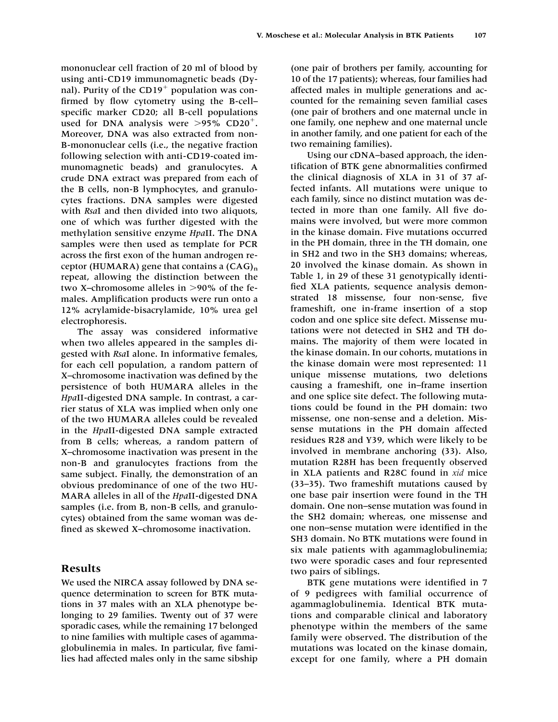mononuclear cell fraction of 20 ml of blood by using anti-CD19 immunomagnetic beads (Dynal). Purity of the  $CD19<sup>+</sup>$  population was confirmed by flow cytometry using the B-cell– specific marker CD20; all B-cell populations used for DNA analysis were  $>95\%$  CD20<sup>+</sup>. Moreover, DNA was also extracted from non-B-mononuclear cells (i.e., the negative fraction following selection with anti-CD19-coated immunomagnetic beads) and granulocytes. A crude DNA extract was prepared from each of the B cells, non-B lymphocytes, and granulocytes fractions. DNA samples were digested with *Rsa*I and then divided into two aliquots, one of which was further digested with the methylation sensitive enzyme *Hpa*II. The DNA samples were then used as template for PCR across the first exon of the human androgen receptor (HUMARA) gene that contains a  $(CAG)_{n}$ repeat, allowing the distinction between the two X–chromosome alleles in  $>90\%$  of the females. Amplification products were run onto a 12% acrylamide-bisacrylamide, 10% urea gel electrophoresis.

The assay was considered informative when two alleles appeared in the samples digested with *Rsa*I alone. In informative females, for each cell population, a random pattern of X–chromosome inactivation was defined by the persistence of both HUMARA alleles in the *Hpa*II-digested DNA sample. In contrast, a carrier status of XLA was implied when only one of the two HUMARA alleles could be revealed in the *Hpa*II-digested DNA sample extracted from B cells; whereas, a random pattern of X–chromosome inactivation was present in the non-B and granulocytes fractions from the same subject. Finally, the demonstration of an obvious predominance of one of the two HU-MARA alleles in all of the *Hpa*II-digested DNA samples (i.e. from B, non-B cells, and granulocytes) obtained from the same woman was defined as skewed X–chromosome inactivation.

# **Results**

We used the NIRCA assay followed by DNA sequence determination to screen for BTK mutations in 37 males with an XLA phenotype belonging to 29 families. Twenty out of 37 were sporadic cases, while the remaining 17 belonged to nine families with multiple cases of agammaglobulinemia in males. In particular, five families had affected males only in the same sibship

(one pair of brothers per family, accounting for 10 of the 17 patients); whereas, four families had affected males in multiple generations and accounted for the remaining seven familial cases (one pair of brothers and one maternal uncle in one family, one nephew and one maternal uncle in another family, and one patient for each of the two remaining families).

Using our cDNA–based approach, the identification of BTK gene abnormalities confirmed the clinical diagnosis of XLA in 31 of 37 affected infants. All mutations were unique to each family, since no distinct mutation was detected in more than one family. All five domains were involved, but were more common in the kinase domain. Five mutations occurred in the PH domain, three in the TH domain, one in SH2 and two in the SH3 domains; whereas, 20 involved the kinase domain. As shown in Table 1, in 29 of these 31 genotypically identified XLA patients, sequence analysis demonstrated 18 missense, four non-sense, five frameshift, one in-frame insertion of a stop codon and one splice site defect. Missense mutations were not detected in SH2 and TH domains. The majority of them were located in the kinase domain. In our cohorts, mutations in the kinase domain were most represented: 11 unique missense mutations, two deletions causing a frameshift, one in–frame insertion and one splice site defect. The following mutations could be found in the PH domain: two missense, one non-sense and a deletion. Missense mutations in the PH domain affected residues R28 and Y39, which were likely to be involved in membrane anchoring (33). Also, mutation R28H has been frequently observed in XLA patients and R28C found in *xid* mice (33–35). Two frameshift mutations caused by one base pair insertion were found in the TH domain. One non–sense mutation was found in the SH2 domain; whereas, one missense and one non–sense mutation were identified in the SH3 domain. No BTK mutations were found in six male patients with agammaglobulinemia; two were sporadic cases and four represented two pairs of siblings.

BTK gene mutations were identified in 7 of 9 pedigrees with familial occurrence of agammaglobulinemia. Identical BTK mutations and comparable clinical and laboratory phenotype within the members of the same family were observed. The distribution of the mutations was located on the kinase domain, except for one family, where a PH domain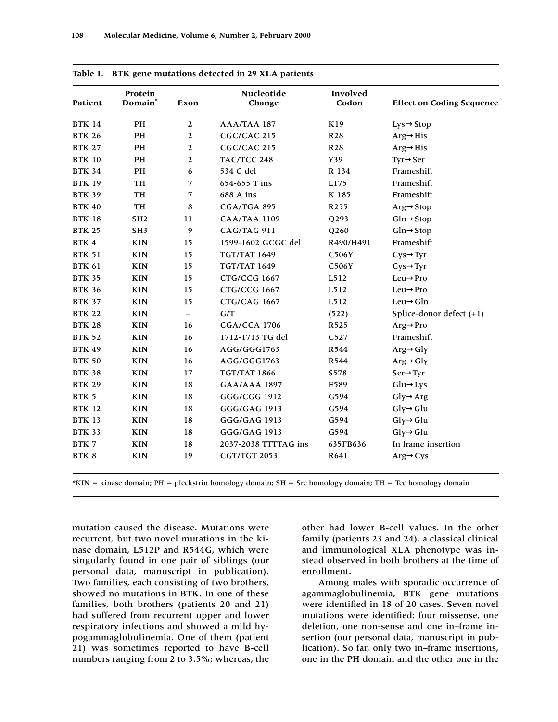| Patient       | Protein<br>Domain <sup>*</sup> | Exon                     | Nucleotide<br>Change | Involved<br>Codon | <b>Effect on Coding Sequence</b> |
|---------------|--------------------------------|--------------------------|----------------------|-------------------|----------------------------------|
| <b>BTK 14</b> | PH                             | $\overline{2}$           | AAA/TAA 187          | K19               | $Lys \rightarrow Stop$           |
| <b>BTK 26</b> | PH                             | $\overline{2}$           | CGC/CAC 215          | R <sub>28</sub>   | $Arg \rightarrow His$            |
| <b>BTK 27</b> | PH                             | $\mathbf{2}$             | CGC/CAC 215          | <b>R28</b>        | $Arg \rightarrow His$            |
| <b>BTK 10</b> | PH                             | $\boldsymbol{2}$         | TAC/TCC 248          | Y39               | $Tyr \rightarrow Ser$            |
| <b>BTK 34</b> | PH                             | 6                        | 534 C del            | R 134             | Frameshift                       |
| <b>BTK 19</b> | TH                             | 7                        | 654-655 T ins        | L175              | Frameshift                       |
| <b>BTK 39</b> | <b>TH</b>                      | 7                        | 688 A ins            | K 185             | Frameshift                       |
| <b>BTK 40</b> | TH                             | 8                        | CGA/TGA 895          | R <sub>255</sub>  | $Arg \rightarrow Stop$           |
| <b>BTK 18</b> | SH <sub>2</sub>                | 11                       | <b>CAA/TAA 1109</b>  | Q293              | $Gln \rightarrow$ Stop           |
| <b>BTK 25</b> | SH <sub>3</sub>                | $\boldsymbol{9}$         | CAG/TAG 911          | Q260              | $Gln \rightarrow$ Stop           |
| BTK 4         | <b>KIN</b>                     | 15                       | 1599-1602 GCGC del   | R490/H491         | Frameshift                       |
| <b>BTK 51</b> | <b>KIN</b>                     | 15                       | <b>TGT/TAT 1649</b>  | C506Y             | $Cys \rightarrow Tyr$            |
| <b>BTK 61</b> | <b>KIN</b>                     | 15                       | <b>TGT/TAT 1649</b>  | C506Y             | $Cys \rightarrow Tyr$            |
| <b>BTK 35</b> | <b>KIN</b>                     | 15                       | <b>CTG/CCG 1667</b>  | L512              | $Leu \rightarrow Pro$            |
| <b>BTK 36</b> | <b>KIN</b>                     | 15                       | <b>CTG/CCG 1667</b>  | L512              | $Leu \rightarrow Pro$            |
| <b>BTK 37</b> | <b>KIN</b>                     | 15                       | <b>CTG/CAG 1667</b>  | L512              | $Leu \rightarrow Gln$            |
| <b>BTK 22</b> | <b>KIN</b>                     | $\overline{\phantom{0}}$ | G/T                  | (522)             | Splice-donor defect $(+1)$       |
| <b>BTK 28</b> | <b>KIN</b>                     | 16                       | <b>CGA/CCA 1706</b>  | R525              | $Arg \rightarrow Pro$            |
| <b>BTK 52</b> | <b>KIN</b>                     | 16                       | 1712-1713 TG del     | C527              | Frameshift                       |
| <b>BTK 49</b> | <b>KIN</b>                     | 16                       | AGG/GGG1763          | R544              | $Arg \rightarrow Gly$            |
| <b>BTK 50</b> | <b>KIN</b>                     | 16                       | AGG/GGG1763          | R544              | $Arg \rightarrow Gly$            |
| <b>BTK 38</b> | <b>KIN</b>                     | 17                       | <b>TGT/TAT 1866</b>  | S578              | $Ser \rightarrow Tyr$            |
| <b>BTK 29</b> | <b>KIN</b>                     | 18                       | <b>GAA/AAA 1897</b>  | E589              | $Glu \rightarrow Lys$            |
| BTK 5         | <b>KIN</b>                     | 18                       | GGG/CGG 1912         | G594              | $Gly \rightarrow Arg$            |
| <b>BTK 12</b> | <b>KIN</b>                     | 18                       | GGG/GAG 1913         | G594              | $Gly \rightarrow Glu$            |
| <b>BTK 13</b> | <b>KIN</b>                     | 18                       | GGG/GAG 1913         | G594              | $Gly \rightarrow Glu$            |
| <b>BTK 33</b> | <b>KIN</b>                     | 18                       | GGG/GAG 1913         | G594              | $Gly \rightarrow Glu$            |
| BTK 7         | <b>KIN</b>                     | 18                       | 2037-2038 TTTTAG ins | 635FB636          | In frame insertion               |
| BTK 8         | <b>KIN</b>                     | 19                       | CGT/TGT 2053         | R641              | $Arg \rightarrow Cys$            |

|  |  |  | Table 1. BTK gene mutations detected in 29 XLA patients |  |  |  |  |  |
|--|--|--|---------------------------------------------------------|--|--|--|--|--|
|--|--|--|---------------------------------------------------------|--|--|--|--|--|

 $*$ KIN = kinase domain; PH = pleckstrin homology domain; SH = Src homology domain; TH = Tec homology domain

mutation caused the disease. Mutations were recurrent, but two novel mutations in the kinase domain, L512P and R544G, which were singularly found in one pair of siblings (our personal data, manuscript in publication). Two families, each consisting of two brothers, showed no mutations in BTK. In one of these families, both brothers (patients 20 and 21) had suffered from recurrent upper and lower respiratory infections and showed a mild hypogammaglobulinemia. One of them (patient 21) was sometimes reported to have B-cell numbers ranging from 2 to 3.5%; whereas, the

other had lower B-cell values. In the other family (patients 23 and 24), a classical clinical and immunological XLA phenotype was instead observed in both brothers at the time of enrollment.

Among males with sporadic occurrence of agammaglobulinemia, BTK gene mutations were identified in 18 of 20 cases. Seven novel mutations were identified: four missense, one deletion, one non-sense and one in–frame insertion (our personal data, manuscript in publication). So far, only two in–frame insertions, one in the PH domain and the other one in the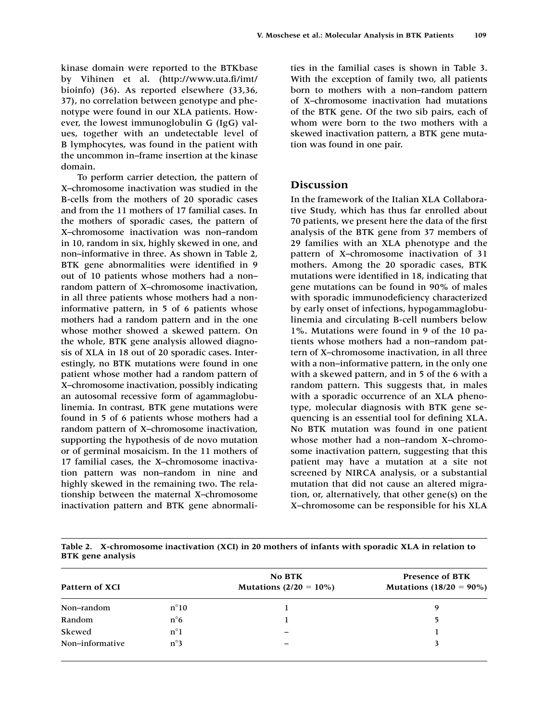kinase domain were reported to the BTKbase by Vihinen et al. (http://www.uta.fi/imt/ bioinfo) (36). As reported elsewhere (33,36, 37), no correlation between genotype and phenotype were found in our XLA patients. However, the lowest immunoglobulin G (IgG) values, together with an undetectable level of B lymphocytes, was found in the patient with the uncommon in–frame insertion at the kinase domain.

To perform carrier detection, the pattern of X–chromosome inactivation was studied in the B-cells from the mothers of 20 sporadic cases and from the 11 mothers of 17 familial cases. In the mothers of sporadic cases, the pattern of X–chromosome inactivation was non–random in 10, random in six, highly skewed in one, and non–informative in three. As shown in Table 2, BTK gene abnormalities were identified in 9 out of 10 patients whose mothers had a non– random pattern of X–chromosome inactivation, in all three patients whose mothers had a noninformative pattern, in 5 of 6 patients whose mothers had a random pattern and in the one whose mother showed a skewed pattern. On the whole, BTK gene analysis allowed diagnosis of XLA in 18 out of 20 sporadic cases. Interestingly, no BTK mutations were found in one patient whose mother had a random pattern of X–chromosome inactivation, possibly indicating an autosomal recessive form of agammaglobulinemia. In contrast, BTK gene mutations were found in 5 of 6 patients whose mothers had a random pattern of X–chromosome inactivation, supporting the hypothesis of de novo mutation or of germinal mosaicism. In the 11 mothers of 17 familial cases, the X–chromosome inactivation pattern was non–random in nine and highly skewed in the remaining two. The relationship between the maternal X–chromosome inactivation pattern and BTK gene abnormalities in the familial cases is shown in Table 3. With the exception of family two, all patients born to mothers with a non–random pattern of X–chromosome inactivation had mutations of the BTK gene. Of the two sib pairs, each of whom were born to the two mothers with a skewed inactivation pattern, a BTK gene mutation was found in one pair.

# **Discussion**

In the framework of the Italian XLA Collaborative Study, which has thus far enrolled about 70 patients, we present here the data of the first analysis of the BTK gene from 37 members of 29 families with an XLA phenotype and the pattern of X–chromosome inactivation of 31 mothers. Among the 20 sporadic cases, BTK mutations were identified in 18, indicating that gene mutations can be found in 90% of males with sporadic immunodeficiency characterized by early onset of infections, hypogammaglobulinemia and circulating B-cell numbers below 1%. Mutations were found in 9 of the 10 patients whose mothers had a non–random pattern of X–chromosome inactivation, in all three with a non–informative pattern, in the only one with a skewed pattern, and in 5 of the 6 with a random pattern. This suggests that, in males with a sporadic occurrence of an XLA phenotype, molecular diagnosis with BTK gene sequencing is an essential tool for defining XLA. No BTK mutation was found in one patient whose mother had a non–random X–chromosome inactivation pattern, suggesting that this patient may have a mutation at a site not screened by NIRCA analysis, or a substantial mutation that did not cause an altered migration, or, alternatively, that other gene(s) on the X–chromosome can be responsible for his XLA

| Table 2. X-chromosome inactivation (XCI) in 20 mothers of infants with sporadic XLA in relation to |  |  |
|----------------------------------------------------------------------------------------------------|--|--|
| <b>BTK</b> gene analysis                                                                           |  |  |

| Pattern of XCI  |               | <b>No BTK</b><br>Mutations $(2/20 = 10\%)$ | <b>Presence of BTK</b><br>Mutations $(18/20 = 90\%)$ |  |
|-----------------|---------------|--------------------------------------------|------------------------------------------------------|--|
| Non-random      | $n^{\circ}10$ |                                            | 9                                                    |  |
| Random          | $n^{\circ}6$  |                                            | 5                                                    |  |
| Skewed          | $n^{\circ}1$  |                                            |                                                      |  |
| Non-informative | $n^{\circ}3$  |                                            |                                                      |  |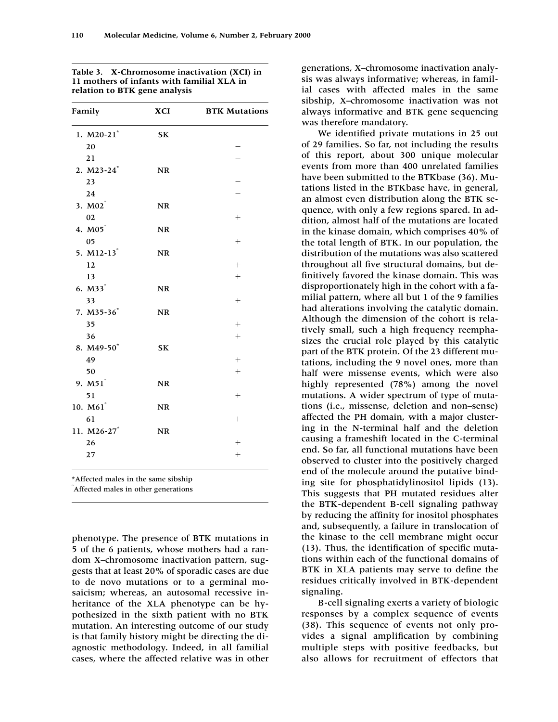| Family                   | <b>XCI</b> | <b>BTK Mutations</b> |
|--------------------------|------------|----------------------|
| 1. $M20-21$ <sup>*</sup> | SK         |                      |
| 20                       |            |                      |
| 21                       |            |                      |
| 2. M23-24*               | NR         |                      |
| 23                       |            |                      |
| 24                       |            |                      |
| 3. M02°                  | NR         |                      |
| 02                       |            | $^{+}$               |
| 4. M05°                  | NR         |                      |
| 05                       |            | $^{+}$               |
| 5. $M12-13$ <sup>°</sup> | <b>NR</b>  |                      |
| 12                       |            | $^{+}$               |
| 13                       |            | $^{+}$               |
| $6. M33$ <sup>°</sup>    | NR         |                      |
| 33                       |            | $^{+}$               |
| 7. M35-36*               | NR         |                      |
| 35                       |            |                      |
| 36                       |            |                      |
| 8. M49-50*               | SK         |                      |
| 49                       |            |                      |
| 50                       |            | $^{+}$               |
| 9. M51°                  | <b>NR</b>  |                      |
| 51                       |            | $^{+}$               |
| 10. M61°                 | NR         |                      |
| 61                       |            | $^{+}$               |
| 11. M26-27 <sup>*</sup>  | NR         |                      |
| 26                       |            |                      |
| 27                       |            |                      |
|                          |            |                      |

**Table 3. X-Chromosome inactivation (XCI) in 11 mothers of infants with familial XLA in relation to BTK gene analysis**

\*Affected males in the same sibship

Affected males in other generations

phenotype. The presence of BTK mutations in 5 of the 6 patients, whose mothers had a random X–chromosome inactivation pattern, suggests that at least 20% of sporadic cases are due to de novo mutations or to a germinal mosaicism; whereas, an autosomal recessive inheritance of the XLA phenotype can be hypothesized in the sixth patient with no BTK mutation. An interesting outcome of our study is that family history might be directing the diagnostic methodology. Indeed, in all familial cases, where the affected relative was in other generations, X–chromosome inactivation analysis was always informative; whereas, in familial cases with affected males in the same sibship, X–chromosome inactivation was not always informative and BTK gene sequencing was therefore mandatory.

We identified private mutations in 25 out of 29 families. So far, not including the results of this report, about 300 unique molecular events from more than 400 unrelated families have been submitted to the BTKbase (36). Mutations listed in the BTKbase have, in general, an almost even distribution along the BTK sequence, with only a few regions spared. In addition, almost half of the mutations are located in the kinase domain, which comprises 40% of the total length of BTK. In our population, the distribution of the mutations was also scattered throughout all five structural domains, but definitively favored the kinase domain. This was disproportionately high in the cohort with a familial pattern, where all but 1 of the 9 families had alterations involving the catalytic domain. Although the dimension of the cohort is relatively small, such a high frequency reemphasizes the crucial role played by this catalytic part of the BTK protein. Of the 23 different mutations, including the 9 novel ones, more than half were missense events, which were also highly represented (78%) among the novel mutations. A wider spectrum of type of mutations (i.e., missense, deletion and non–sense) affected the PH domain, with a major clustering in the N-terminal half and the deletion causing a frameshift located in the C-terminal end. So far, all functional mutations have been observed to cluster into the positively charged end of the molecule around the putative binding site for phosphatidylinositol lipids (13). This suggests that PH mutated residues alter the BTK-dependent B-cell signaling pathway by reducing the affinity for inositol phosphates and, subsequently, a failure in translocation of the kinase to the cell membrane might occur (13). Thus, the identification of specific mutations within each of the functional domains of BTK in XLA patients may serve to define the residues critically involved in BTK-dependent signaling.

B-cell signaling exerts a variety of biologic responses by a complex sequence of events (38). This sequence of events not only provides a signal amplification by combining multiple steps with positive feedbacks, but also allows for recruitment of effectors that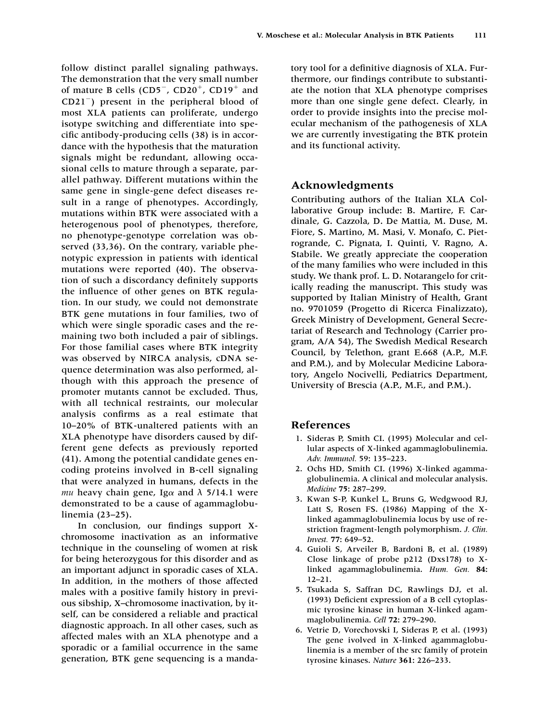follow distinct parallel signaling pathways. The demonstration that the very small number of mature B cells ( $CD5^-$ ,  $CD20^+$ ,  $CD19^+$  and CD21) present in the peripheral blood of most XLA patients can proliferate, undergo isotype switching and differentiate into specific antibody-producing cells (38) is in accordance with the hypothesis that the maturation signals might be redundant, allowing occasional cells to mature through a separate, parallel pathway. Different mutations within the same gene in single-gene defect diseases result in a range of phenotypes. Accordingly, mutations within BTK were associated with a heterogenous pool of phenotypes, therefore, no phenotype-genotype correlation was observed (33,36). On the contrary, variable phenotypic expression in patients with identical mutations were reported (40). The observation of such a discordancy definitely supports the influence of other genes on BTK regulation. In our study, we could not demonstrate BTK gene mutations in four families, two of which were single sporadic cases and the remaining two both included a pair of siblings. For those familial cases where BTK integrity was observed by NIRCA analysis, cDNA sequence determination was also performed, although with this approach the presence of promoter mutants cannot be excluded. Thus, with all technical restraints, our molecular analysis confirms as a real estimate that 10–20% of BTK-unaltered patients with an XLA phenotype have disorders caused by different gene defects as previously reported (41). Among the potential candidate genes encoding proteins involved in B-cell signaling that were analyzed in humans, defects in the *mu* heavy chain gene, Igα and  $λ$  5/14.1 were demonstrated to be a cause of agammaglobulinemia (23–25).

In conclusion, our findings support Xchromosome inactivation as an informative technique in the counseling of women at risk for being heterozygous for this disorder and as an important adjunct in sporadic cases of XLA. In addition, in the mothers of those affected males with a positive family history in previous sibship, X–chromosome inactivation, by itself, can be considered a reliable and practical diagnostic approach. In all other cases, such as affected males with an XLA phenotype and a sporadic or a familial occurrence in the same generation, BTK gene sequencing is a mandatory tool for a definitive diagnosis of XLA. Furthermore, our findings contribute to substantiate the notion that XLA phenotype comprises more than one single gene defect. Clearly, in order to provide insights into the precise molecular mechanism of the pathogenesis of XLA we are currently investigating the BTK protein and its functional activity.

# **Acknowledgments**

Contributing authors of the Italian XLA Collaborative Group include: B. Martire, F. Cardinale, G. Cazzola, D. De Mattia, M. Duse, M. Fiore, S. Martino, M. Masi, V. Monafo, C. Pietrogrande, C. Pignata, I. Quinti, V. Ragno, A. Stabile. We greatly appreciate the cooperation of the many families who were included in this study. We thank prof. L. D. Notarangelo for critically reading the manuscript. This study was supported by Italian Ministry of Health, Grant no. 9701059 (Progetto di Ricerca Finalizzato), Greek Ministry of Development, General Secretariat of Research and Technology (Carrier program, A/A 54), The Swedish Medical Research Council, by Telethon, grant E.668 (A.P., M.F. and P.M.), and by Molecular Medicine Laboratory, Angelo Nocivelli, Pediatrics Department, University of Brescia (A.P., M.F., and P.M.).

## **References**

- 1. Sideras P, Smith CI. (1995) Molecular and cellular aspects of X-linked agammaglobulinemia. *Adv. Immunol.* 59: 135–223.
- 2. Ochs HD, Smith CI. (1996) X-linked agammaglobulinemia. A clinical and molecular analysis. *Medicine* **75:** 287–299.
- 3. Kwan S-P, Kunkel L, Bruns G, Wedgwood RJ, Latt S, Rosen FS. (1986) Mapping of the Xlinked agammaglobulinemia locus by use of restriction fragment-length polymorphism. *J. Clin. Invest.* **77:** 649–52.
- 4. Guioli S, Arveiler B, Bardoni B, et al. (1989) Close linkage of probe p212 (Dxs178) to Xlinked agammaglobulinemia. *Hum. Gen.* **84:** 12–21.
- 5. Tsukada S, Saffran DC, Rawlings DJ, et al. (1993) Deficient expression of a B cell cytoplasmic tyrosine kinase in human X-linked agammaglobulinemia. *Cell* **72:** 279–290.
- 6. Vetrie D, Vorechovski I, Sideras P, et al. (1993) The gene ivolved in X-linked agammaglobulinemia is a member of the src family of protein tyrosine kinases. *Nature* **361:** 226–233.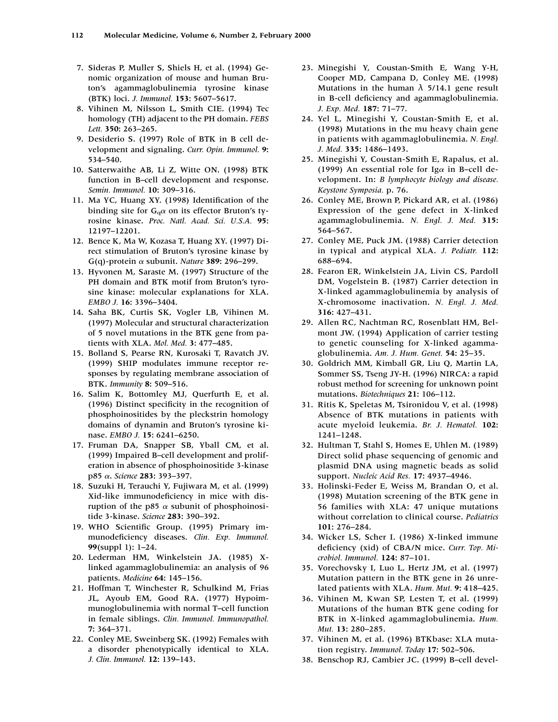- 7. Sideras P, Muller S, Shiels H, et al. (1994) Genomic organization of mouse and human Bruton's agammaglobulinemia tyrosine kinase (BTK) loci. *J. Immunol.* **153:** 5607–5617.
- 8. Vihinen M, Nilsson L, Smith CIE. (1994) Tec homology (TH) adjacent to the PH domain. *FEBS Lett.* **350:** 263–265.
- 9. Desiderio S. (1997) Role of BTK in B cell development and signaling. *Curr. Opin. Immunol.* **9:** 534–540.
- 10. Satterwaithe AB, Li Z, Witte ON. (1998) BTK function in B–cell development and response. *Semin. Immunol.* **10:** 309–316.
- 11. Ma YC, Huang XY. (1998) Identification of the binding site for  $G_q\alpha$  on its effector Bruton's tyrosine kinase. *Proc. Natl. Acad. Sci. U.S.A.* **95:** 12197–12201.
- 12. Bence K, Ma W, Kozasa T, Huang XY. (1997) Direct stimulation of Bruton's tyrosine kinase by G(q)-protein α subunit. *Nature* **389:** 296–299.
- 13. Hyvonen M, Saraste M. (1997) Structure of the PH domain and BTK motif from Bruton's tyrosine kinase: molecular explanations for XLA. *EMBO J.* **16:** 3396–3404.
- 14. Saha BK, Curtis SK, Vogler LB, Vihinen M. (1997) Molecular and structural characterization of 5 novel mutations in the BTK gene from patients with XLA. *Mol. Med.* **3:** 477–485.
- 15. Bolland S, Pearse RN, Kurosaki T, Ravatch JV. (1999) SHIP modulates immune receptor responses by regulating membrane association of BTK. *Immunity* **8:** 509–516.
- 16. Salim K, Bottomley MJ, Querfurth E, et al. (1996) Distinct specificity in the recognition of phosphoinositides by the pleckstrin homology domains of dynamin and Bruton's tyrosine kinase. *EMBO J.* **15:** 6241–6250.
- 17. Fruman DA, Snapper SB, Yball CM, et al. (1999) Impaired B–cell development and proliferation in absence of phosphoinositide 3-kinase p85 α. *Science* 283: 393–397.
- 18. Suzuki H, Terauchi Y, Fujiwara M, et al. (1999) Xid-like immunodeficiency in mice with disruption of the p85  $\alpha$  subunit of phosphoinositide 3-kinase. *Science* **283:** 390–392.
- 19. WHO Scientific Group. (1995) Primary immunodeficiency diseases. *Clin. Exp. Immunol.* **99**(suppl 1): 1–24.
- 20. Lederman HM, Winkelstein JA. (1985) Xlinked agammaglobulinemia: an analysis of 96 patients. *Medicine* **64:** 145–156.
- 21. Hoffman T, Winchester R, Schulkind M, Frias JL, Ayoub EM, Good RA. (1977) Hypoimmunoglobulinemia with normal T–cell function in female siblings. *Clin. Immunol. Immunopathol.* **7:** 364–371.
- 22. Conley ME, Sweinberg SK. (1992) Females with a disorder phenotypically identical to XLA. *J. Clin. Immunol.* **12:** 139–143.
- 23. Minegishi Y, Coustan-Smith E, Wang Y-H, Cooper MD, Campana D, Conley ME. (1998) Mutations in the human *λ* 5/14.1 gene result in B-cell deficiency and agammaglobulinemia. *J. Exp. Med.* **187:** 71–77.
- 24. Yel L, Minegishi Y, Coustan-Smith E, et al. (1998) Mutations in the mu heavy chain gene in patients with agammaglobulinemia. *N. Engl. J. Med.* **335:** 1486–1493.
- 25. Minegishi Y, Coustan-Smith E, Rapalus, et al. (1999) An essential role for Ig $\alpha$  in B-cell development. In: *B lymphocyte biology and disease. Keystone Symposia.* p. 76.
- 26. Conley ME, Brown P, Pickard AR, et al. (1986) Expression of the gene defect in X-linked agammaglobulinemia. *N. Engl. J. Med.* **315:** 564–567.
- 27. Conley ME, Puck JM. (1988) Carrier detection in typical and atypical XLA. *J. Pediatr.* **112:** 688–694.
- 28. Fearon ER, Winkelstein JA, Livin CS, Pardoll DM, Vogelstein B. (1987) Carrier detection in X-linked agammaglobulinemia by analysis of X-chromosome inactivation. *N. Engl. J. Med.* **316:** 427–431.
- 29. Allen RC, Nachtman RC, Rosenblatt HM, Belmont JW. (1994) Application of carrier testing to genetic counseling for X-linked agammaglobulinemia. *Am. J. Hum. Genet.* **54:** 25–35.
- 30. Goldrich MM, Kimball GR, Liu Q, Martin LA, Sommer SS, Tseng JY-H. (1996) NIRCA: a rapid robust method for screening for unknown point mutations. *Biotechniques* **21:** 106–112.
- 31. Ritis K, Speletas M, Tsironidou V, et al. (1998) Absence of BTK mutations in patients with acute myeloid leukemia. *Br. J. Hematol.* **102:** 1241–1248.
- 32. Hultman T, Stahl S, Homes E, Uhlen M. (1989) Direct solid phase sequencing of genomic and plasmid DNA using magnetic beads as solid support. *Nucleic Acid Res.* **17:** 4937–4946.
- 33. Holinski-Feder E, Weiss M, Brandan O, et al. (1998) Mutation screening of the BTK gene in 56 families with XLA: 47 unique mutations without correlation to clinical course. *Pediatrics* **101:** 276–284.
- 34. Wicker LS, Scher I. (1986) X-linked immune deficiency (xid) of CBA/N mice. *Curr. Top. Microbiol. Immunol.* **124:** 87–101.
- 35. Vorechovsky I, Luo L, Hertz JM, et al. (1997) Mutation pattern in the BTK gene in 26 unrelated patients with XLA. *Hum. Mut.* **9:** 418–425.
- 36. Vihinen M, Kwan SP, Lesten T, et al. (1999) Mutations of the human BTK gene coding for BTK in X-linked agammaglobulinemia. *Hum. Mut.* **13:** 280–285.
- 37. Vihinen M, et al. (1996) BTKbase: XLA mutation registry. *Immunol. Today* **17:** 502–506.
- 38. Benschop RJ, Cambier JC. (1999) B–cell devel-